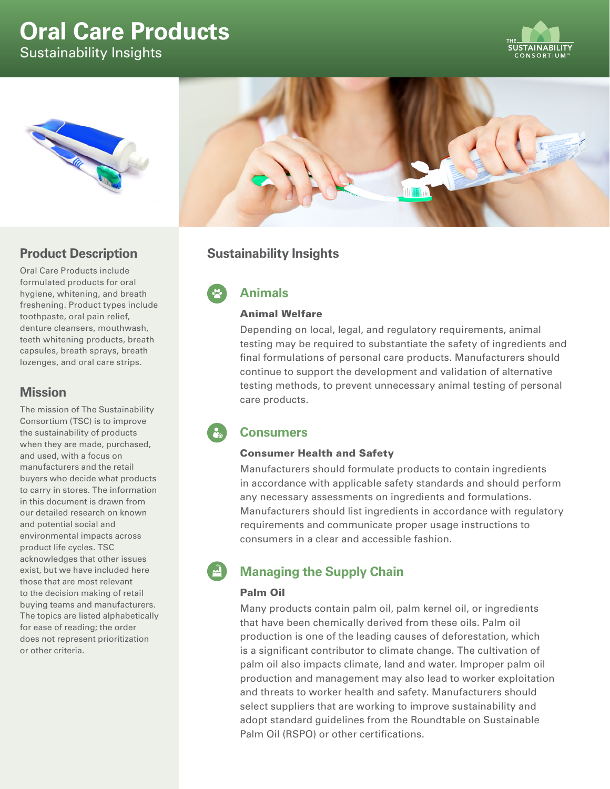# **Oral Care Products**

Sustainability Insights







# **Product Description**

Oral Care Products include formulated products for oral hygiene, whitening, and breath freshening. Product types include toothpaste, oral pain relief, denture cleansers, mouthwash, teeth whitening products, breath capsules, breath sprays, breath lozenges, and oral care strips.

## **Mission**

The mission of The Sustainability Consortium (TSC) is to improve the sustainability of products when they are made, purchased, and used, with a focus on manufacturers and the retail buyers who decide what products to carry in stores. The information in this document is drawn from our detailed research on known and potential social and environmental impacts across product life cycles. TSC acknowledges that other issues exist, but we have included here those that are most relevant to the decision making of retail buying teams and manufacturers. The topics are listed alphabetically for ease of reading; the order does not represent prioritization or other criteria.

# **Sustainability Insights**

**Animals**

## Animal Welfare

Depending on local, legal, and regulatory requirements, animal testing may be required to substantiate the safety of ingredients and final formulations of personal care products. Manufacturers should continue to support the development and validation of alternative testing methods, to prevent unnecessary animal testing of personal care products.

# **Consumers**

## Consumer Health and Safety

Manufacturers should formulate products to contain ingredients in accordance with applicable safety standards and should perform any necessary assessments on ingredients and formulations. Manufacturers should list ingredients in accordance with regulatory requirements and communicate proper usage instructions to consumers in a clear and accessible fashion.

# **Managing the Supply Chain**

## Palm Oil

Many products contain palm oil, palm kernel oil, or ingredients that have been chemically derived from these oils. Palm oil production is one of the leading causes of deforestation, which is a significant contributor to climate change. The cultivation of palm oil also impacts climate, land and water. Improper palm oil production and management may also lead to worker exploitation and threats to worker health and safety. Manufacturers should select suppliers that are working to improve sustainability and adopt standard guidelines from the Roundtable on Sustainable Palm Oil (RSPO) or other certifications.